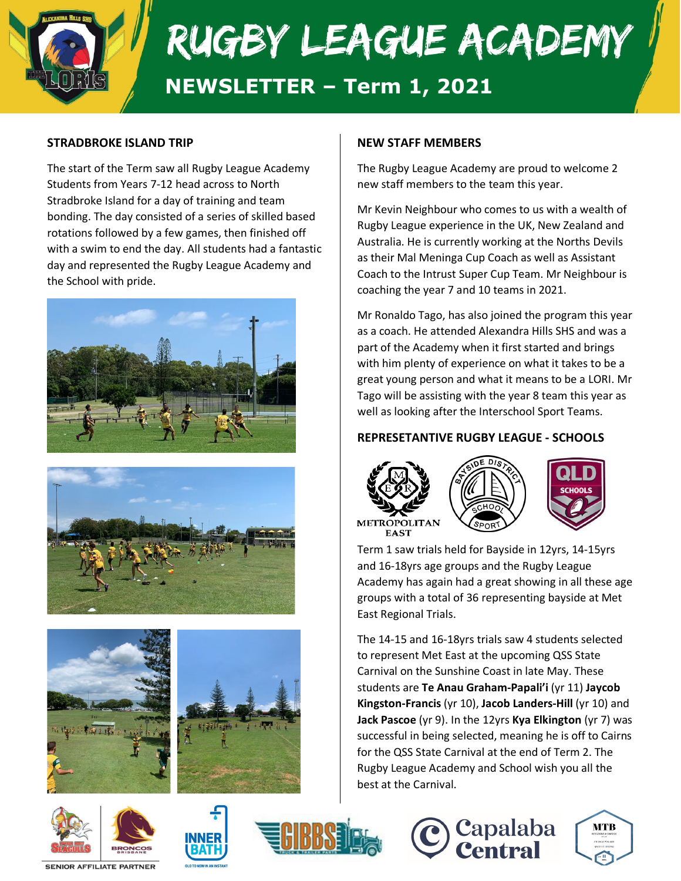

### **STRADBROKE ISLAND TRIP**

The start of the Term saw all Rugby League Academy Students from Years 7-12 head across to North Stradbroke Island for a day of training and team bonding. The day consisted of a series of skilled based rotations followed by a few games, then finished off with a swim to end the day. All students had a fantastic day and represented the Rugby League Academy and the School with pride.















#### **NEW STAFF MEMBERS**

The Rugby League Academy are proud to welcome 2 new staff members to the team this year.

Mr Kevin Neighbour who comes to us with a wealth of Rugby League experience in the UK, New Zealand and Australia. He is currently working at the Norths Devils as their Mal Meninga Cup Coach as well as Assistant Coach to the Intrust Super Cup Team. Mr Neighbour is coaching the year 7 and 10 teams in 2021.

Mr Ronaldo Tago, has also joined the program this year as a coach. He attended Alexandra Hills SHS and was a part of the Academy when it first started and brings with him plenty of experience on what it takes to be a great young person and what it means to be a LORI. Mr Tago will be assisting with the year 8 team this year as well as looking after the Interschool Sport Teams.

#### **REPRESETANTIVE RUGBY LEAGUE - SCHOOLS**



East Regional Trials.





Term 1 saw trials held for Bayside in 12yrs, 14-15yrs and 16-18yrs age groups and the Rugby League Academy has again had a great showing in all these age groups with a total of 36 representing bayside at Met

The 14-15 and 16-18yrs trials saw 4 students selected to represent Met East at the upcoming QSS State Carnival on the Sunshine Coast in late May. These students are **Te Anau Graham-Papali'i** (yr 11) **Jaycob Kingston-Francis** (yr 10), **Jacob Landers-Hill** (yr 10) and **Jack Pascoe** (yr 9). In the 12yrs **Kya Elkington** (yr 7) was successful in being selected, meaning he is off to Cairns for the QSS State Carnival at the end of Term 2. The Rugby League Academy and School wish you all the best at the Carnival.



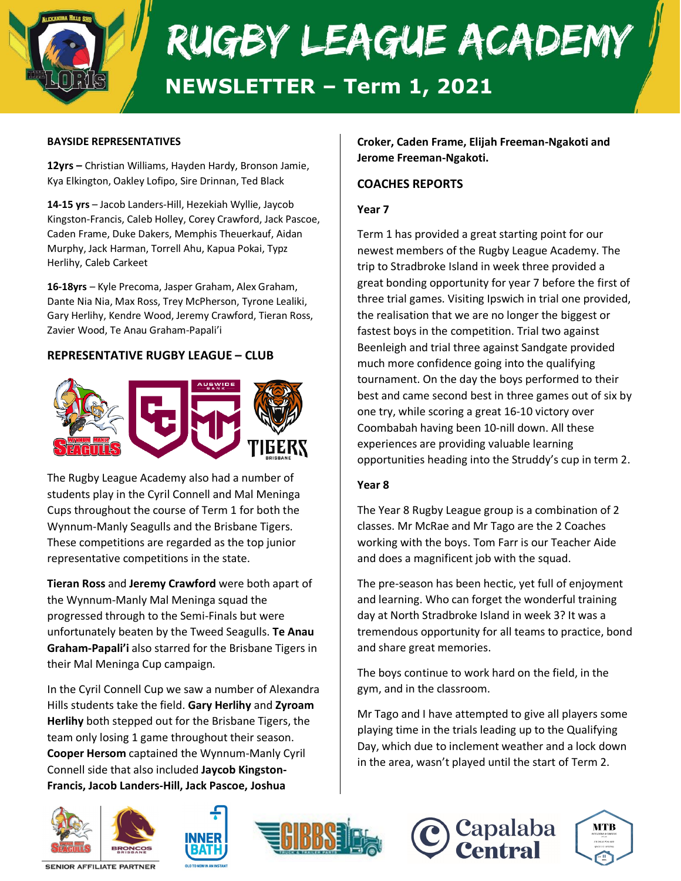

#### **BAYSIDE REPRESENTATIVES**

**12yrs –** Christian Williams, Hayden Hardy, Bronson Jamie, Kya Elkington, Oakley Lofipo, Sire Drinnan, Ted Black

**14-15 yrs** – Jacob Landers-Hill, Hezekiah Wyllie, Jaycob Kingston-Francis, Caleb Holley, Corey Crawford, Jack Pascoe, Caden Frame, Duke Dakers, Memphis Theuerkauf, Aidan Murphy, Jack Harman, Torrell Ahu, Kapua Pokai, Typz Herlihy, Caleb Carkeet

**16-18yrs** – Kyle Precoma, Jasper Graham, Alex Graham, Dante Nia Nia, Max Ross, Trey McPherson, Tyrone Lealiki, Gary Herlihy, Kendre Wood, Jeremy Crawford, Tieran Ross, Zavier Wood, Te Anau Graham-Papali'i

#### **REPRESENTATIVE RUGBY LEAGUE – CLUB**



The Rugby League Academy also had a number of students play in the Cyril Connell and Mal Meninga Cups throughout the course of Term 1 for both the Wynnum-Manly Seagulls and the Brisbane Tigers. These competitions are regarded as the top junior representative competitions in the state.

**Tieran Ross** and **Jeremy Crawford** were both apart of the Wynnum-Manly Mal Meninga squad the progressed through to the Semi-Finals but were unfortunately beaten by the Tweed Seagulls. **Te Anau Graham-Papali'i** also starred for the Brisbane Tigers in their Mal Meninga Cup campaign.

In the Cyril Connell Cup we saw a number of Alexandra Hills students take the field. **Gary Herlihy** and **Zyroam Herlihy** both stepped out for the Brisbane Tigers, the team only losing 1 game throughout their season. **Cooper Hersom** captained the Wynnum-Manly Cyril Connell side that also included **Jaycob Kingston-Francis, Jacob Landers-Hill, Jack Pascoe, Joshua** 

**Croker, Caden Frame, Elijah Freeman-Ngakoti and Jerome Freeman-Ngakoti.**

### **COACHES REPORTS**

#### **Year 7**

Term 1 has provided a great starting point for our newest members of the Rugby League Academy. The trip to Stradbroke Island in week three provided a great bonding opportunity for year 7 before the first of three trial games. Visiting Ipswich in trial one provided, the realisation that we are no longer the biggest or fastest boys in the competition. Trial two against Beenleigh and trial three against Sandgate provided much more confidence going into the qualifying tournament. On the day the boys performed to their best and came second best in three games out of six by one try, while scoring a great 16-10 victory over Coombabah having been 10-nill down. All these experiences are providing valuable learning opportunities heading into the Struddy's cup in term 2.

#### **Year 8**

The Year 8 Rugby League group is a combination of 2 classes. Mr McRae and Mr Tago are the 2 Coaches working with the boys. Tom Farr is our Teacher Aide and does a magnificent job with the squad.

The pre-season has been hectic, yet full of enjoyment and learning. Who can forget the wonderful training day at North Stradbroke Island in week 3? It was a tremendous opportunity for all teams to practice, bond and share great memories.

The boys continue to work hard on the field, in the gym, and in the classroom.

Mr Tago and I have attempted to give all players some playing time in the trials leading up to the Qualifying Day, which due to inclement weather and a lock down in the area, wasn't played until the start of Term 2.











**SENIOR AFFILIATE PARTNER**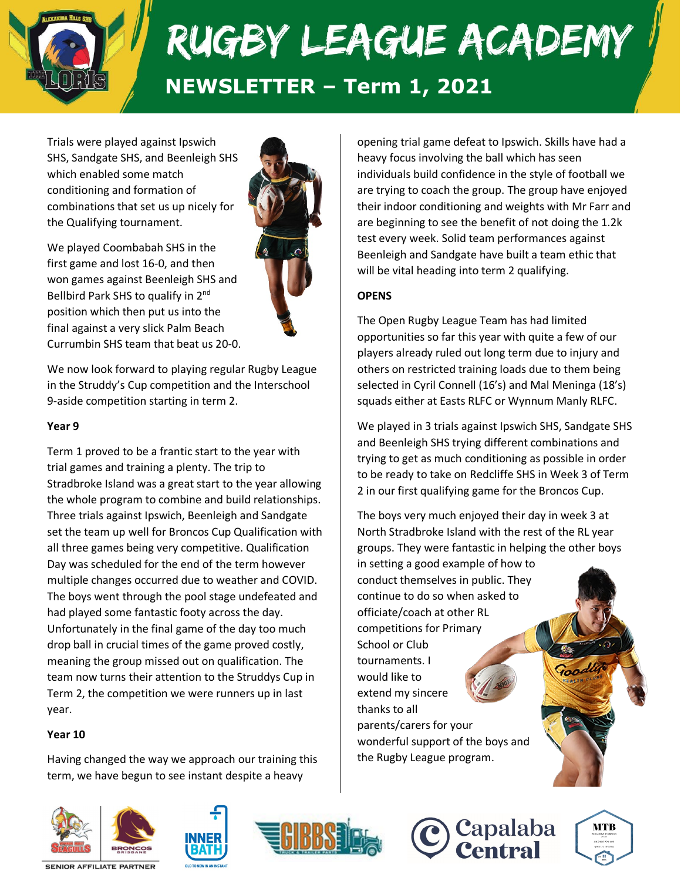

Trials were played against Ipswich SHS, Sandgate SHS, and Beenleigh SHS which enabled some match conditioning and formation of combinations that set us up nicely for the Qualifying tournament.

We played Coombabah SHS in the first game and lost 16-0, and then won games against Beenleigh SHS and Bellbird Park SHS to qualify in 2<sup>nd</sup> position which then put us into the final against a very slick Palm Beach Currumbin SHS team that beat us 20-0.

We now look forward to playing regular Rugby League in the Struddy's Cup competition and the Interschool 9-aside competition starting in term 2.

#### **Year 9**

Term 1 proved to be a frantic start to the year with trial games and training a plenty. The trip to Stradbroke Island was a great start to the year allowing the whole program to combine and build relationships. Three trials against Ipswich, Beenleigh and Sandgate set the team up well for Broncos Cup Qualification with all three games being very competitive. Qualification Day was scheduled for the end of the term however multiple changes occurred due to weather and COVID. The boys went through the pool stage undefeated and had played some fantastic footy across the day. Unfortunately in the final game of the day too much drop ball in crucial times of the game proved costly, meaning the group missed out on qualification. The team now turns their attention to the Struddys Cup in Term 2, the competition we were runners up in last year.

#### **Year 10**

Having changed the way we approach our training this term, we have begun to see instant despite a heavy

opening trial game defeat to Ipswich. Skills have had a heavy focus involving the ball which has seen individuals build confidence in the style of football we are trying to coach the group. The group have enjoyed their indoor conditioning and weights with Mr Farr and are beginning to see the benefit of not doing the 1.2k test every week. Solid team performances against Beenleigh and Sandgate have built a team ethic that will be vital heading into term 2 qualifying.

### **OPENS**

The Open Rugby League Team has had limited opportunities so far this year with quite a few of our players already ruled out long term due to injury and others on restricted training loads due to them being selected in Cyril Connell (16's) and Mal Meninga (18's) squads either at Easts RLFC or Wynnum Manly RLFC.

We played in 3 trials against Ipswich SHS, Sandgate SHS and Beenleigh SHS trying different combinations and trying to get as much conditioning as possible in order to be ready to take on Redcliffe SHS in Week 3 of Term 2 in our first qualifying game for the Broncos Cup.

The boys very much enjoyed their day in week 3 at North Stradbroke Island with the rest of the RL year groups. They were fantastic in helping the other boys

in setting a good example of how to conduct themselves in public. They continue to do so when asked to officiate/coach at other RL competitions for Primary School or Club tournaments. I would like to extend my sincere thanks to all parents/carers for your wonderful support of the boys and the Rugby League program.